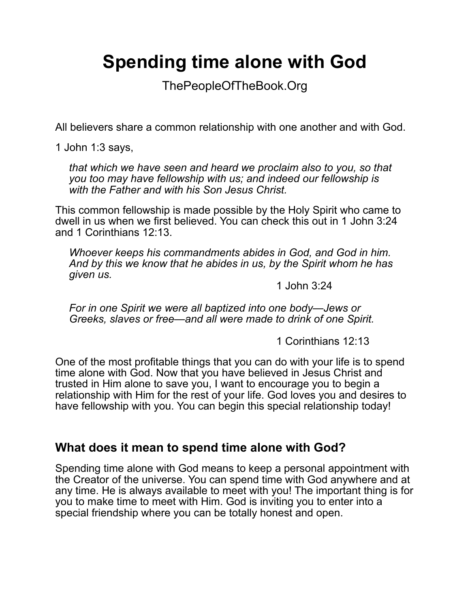# **Spending time alone with God**

ThePeopleOfTheBook.Org

All believers share a common relationship with one another and with God.

1 John 1:3 says,

*that which we have seen and heard we proclaim also to you, so that you too may have fellowship with us; and indeed our fellowship is with the Father and with his Son Jesus Christ.*

This common fellowship is made possible by the Holy Spirit who came to dwell in us when we first believed. You can check this out in 1 John 3:24 and 1 Corinthians 12:13.

*Whoever keeps his commandments abides in God, and God in him. And by this we know that he abides in us, by the Spirit whom he has given us.*

1 John 3:24

*For in one Spirit we were all baptized into one body—Jews or Greeks, slaves or free—and all were made to drink of one Spirit.*

1 Corinthians 12:13

One of the most profitable things that you can do with your life is to spend time alone with God. Now that you have believed in Jesus Christ and trusted in Him alone to save you, I want to encourage you to begin a relationship with Him for the rest of your life. God loves you and desires to have fellowship with you. You can begin this special relationship today!

## **What does it mean to spend time alone with God?**

Spending time alone with God means to keep a personal appointment with the Creator of the universe. You can spend time with God anywhere and at any time. He is always available to meet with you! The important thing is for you to make time to meet with Him. God is inviting you to enter into a special friendship where you can be totally honest and open.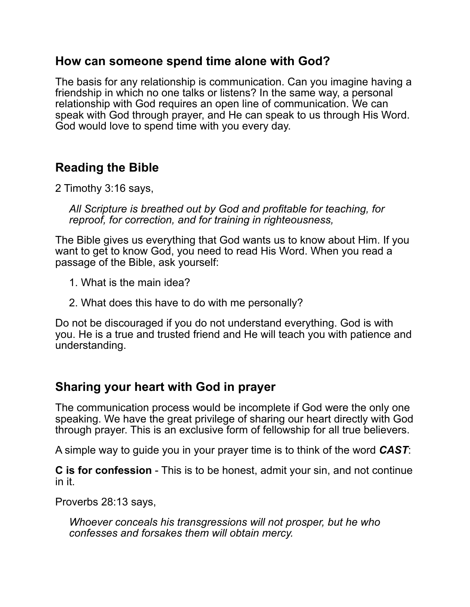#### **How can someone spend time alone with God?**

The basis for any relationship is communication. Can you imagine having a friendship in which no one talks or listens? In the same way, a personal relationship with God requires an open line of communication. We can speak with God through prayer, and He can speak to us through His Word. God would love to spend time with you every day.

# **Reading the Bible**

2 Timothy 3:16 says,

*All Scripture is breathed out by God and profitable for teaching, for reproof, for correction, and for training in righteousness,*

The Bible gives us everything that God wants us to know about Him. If you want to get to know God, you need to read His Word. When you read a passage of the Bible, ask yourself:

- 1. What is the main idea?
- 2. What does this have to do with me personally?

Do not be discouraged if you do not understand everything. God is with you. He is a true and trusted friend and He will teach you with patience and understanding.

## **Sharing your heart with God in prayer**

The communication process would be incomplete if God were the only one speaking. We have the great privilege of sharing our heart directly with God through prayer. This is an exclusive form of fellowship for all true believers.

A simple way to guide you in your prayer time is to think of the word *CAST*:

**C is for confession** - This is to be honest, admit your sin, and not continue in it.

Proverbs 28:13 says,

*Whoever conceals his transgressions will not prosper, but he who confesses and forsakes them will obtain mercy.*